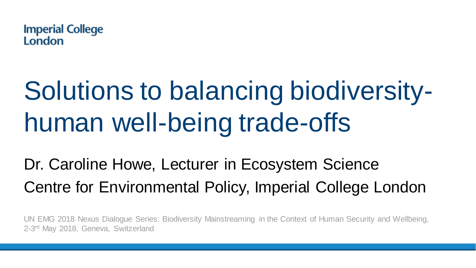

# Solutions to balancing biodiversityhuman well-being trade-offs

Dr. Caroline Howe, Lecturer in Ecosystem Science Centre for Environmental Policy, Imperial College London

UN EMG 2018 Nexus Dialogue Series: Biodiversity Mainstreaming in the Context of Human Security and Wellbeing, 2-3<sup>rd</sup> May 2018, Geneva, Switzerland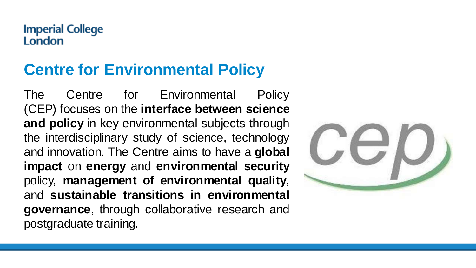### **Centre for Environmental Policy**

The Centre for Environmental Policy (CEP) focuses on the **interface between science and policy** in key environmental subjects through the interdisciplinary study of science, technology and innovation. The Centre aims to have a **global impact** on **energy** and **environmental security** policy, **management of environmental quality**, and **sustainable transitions in environmental governance**, through collaborative research and postgraduate training.

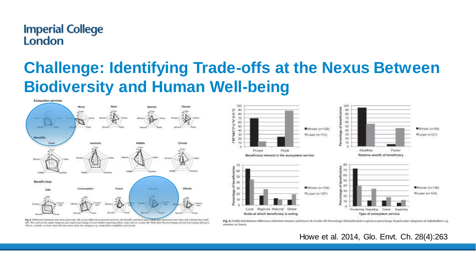### **Challenge: Identifying Trade-offs at the Nexus Between Biodiversity and Human Well-being**







Fig. 4. Profile distribution differences between winners and lasers of a trade-off. Percentage of beneficiaties is given as percentage of particular categories of stalotholders e.g. winners or lower.

Howe et al. 2014, Glo. Envt. Ch. 28(4):263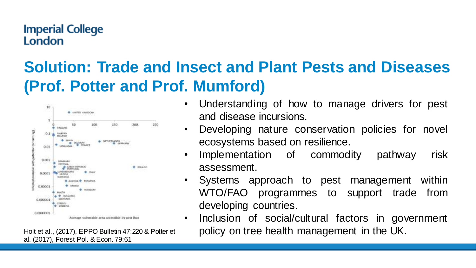### **Solution: Trade and Insect and Plant Pests and Diseases (Prof. Potter and Prof. Mumford)**



Holt et al., (2017), EPPO Bulletin 47:220 & Potter et al. (2017), Forest Pol. & Econ. 79:61

- Understanding of how to manage drivers for pest and disease incursions.
- Developing nature conservation policies for novel ecosystems based on resilience.
- Implementation of commodity pathway risk assessment.
- Systems approach to pest management within WTO/FAO programmes to support trade from developing countries.
- Inclusion of social/cultural factors in government policy on tree health management in the UK.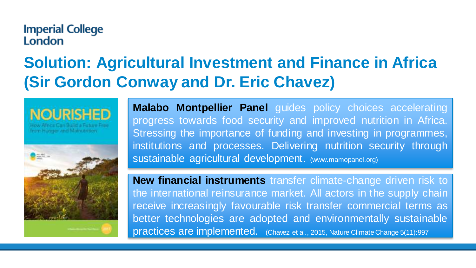### **Solution: Agricultural Investment and Finance in Africa (Sir Gordon Conway and Dr. Eric Chavez)**

rom Hunner and Mainutritic



**Malabo Montpellier Panel** guides policy choices accelerating progress towards food security and improved nutrition in Africa. Stressing the importance of funding and investing in programmes, institutions and processes. Delivering nutrition security through sustainable agricultural development. (www.mamopanel.org)

**New financial instruments** transfer climate-change driven risk to the international reinsurance market. All actors in the supply chain receive increasingly favourable risk transfer commercial terms as better technologies are adopted and environmentally sustainable practices are implemented. (Chavez et al., 2015, Nature ClimateChange 5(11):997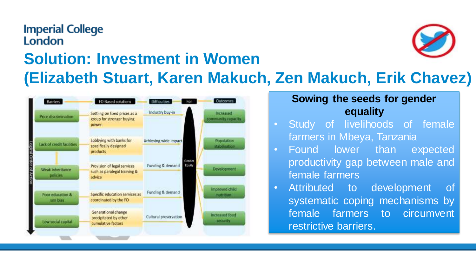### **Imperial College** London **Solution: Investment in Women (Elizabeth Stuart, Karen Makuch, Zen Makuch, Erik Chavez)**



#### **Sowing the seeds for gender equality**

- Study of livelihoods of female farmers in Mbeya, Tanzania
- Found lower than expected productivity gap between male and female farmers
- Attributed to development of systematic coping mechanisms by female farmers to circumvent restrictive barriers.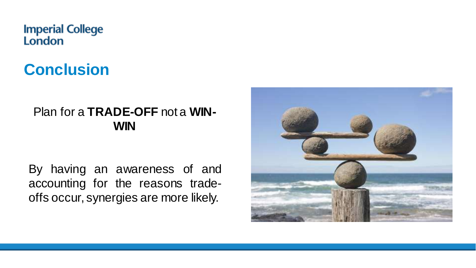## **Conclusion**

#### Plan for a **TRADE-OFF** not a **WIN-WIN**

By having an awareness of and accounting for the reasons tradeoffs occur, synergies are more likely.

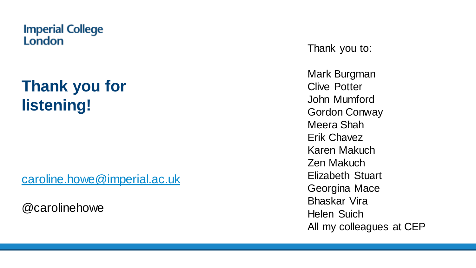### **Thank you for listening!**

[caroline.howe@imperial.ac.uk](mailto:caroline.howe@imperial.ac.uk)

@carolinehowe

Thank you to:

Mark Burgman Clive Potter John Mumford Gordon Conway Meera Shah Erik Chavez Karen Makuch Zen Makuch Elizabeth Stuart Georgina Mace Bhaskar Vira Helen Suich All my colleagues at CEP